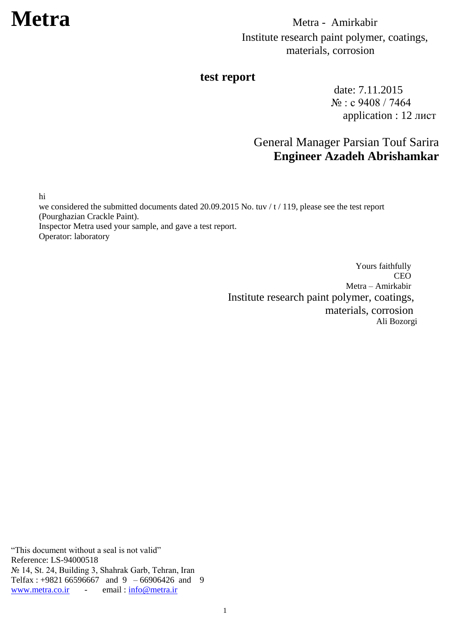### **test report**

date: 7.11.2015 № : с 9408 / 7464 application : 12 лист

## General Manager Parsian Touf Sarira **Engineer Azadeh Abrishamkar**

hi

we considered the submitted documents dated 20.09.2015 No. tuv / t / 119, please see the test report (Pourghazian Crackle Paint). Inspector Metra used your sample, and gave a test report.

Operator: laboratory

Yours faithfully CEO Metra – Amirkabir Institute research paint polymer, coatings, materials, corrosion Ali Bozorgi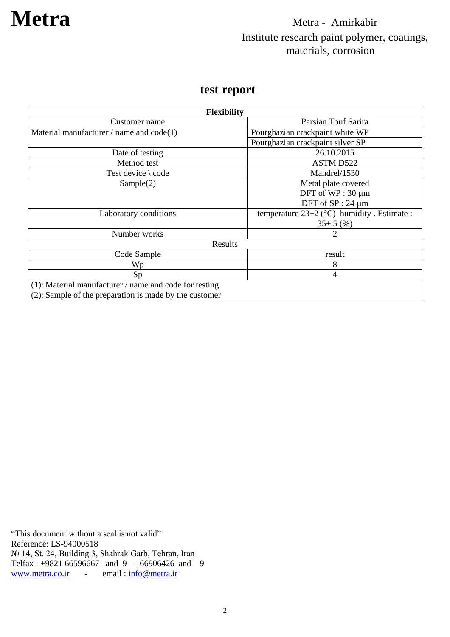### **test report**

| <b>Flexibility</b>                                        |                                                |  |
|-----------------------------------------------------------|------------------------------------------------|--|
| Customer name                                             | Parsian Touf Sarira                            |  |
| Material manufacturer / name and $code(1)$                | Pourghazian crackpaint white WP                |  |
|                                                           | Pourghazian crackpaint silver SP               |  |
| Date of testing                                           | 26.10.2015                                     |  |
| Method test                                               | ASTM D522                                      |  |
| Test device $\setminus$ code                              | Mandrel/1530                                   |  |
| Sample(2)                                                 | Metal plate covered                            |  |
|                                                           | DFT of WP: 30 µm                               |  |
|                                                           | DFT of SP: 24 µm                               |  |
| Laboratory conditions                                     | temperature $23\pm2$ (°C) humidity. Estimate : |  |
|                                                           | $35\pm 5$ (%)                                  |  |
| Number works                                              |                                                |  |
| Results                                                   |                                                |  |
| Code Sample                                               | result                                         |  |
| Wp                                                        | 8                                              |  |
| Sp                                                        | $\overline{4}$                                 |  |
| $(1)$ : Material manufacturer / name and code for testing |                                                |  |
| (2): Sample of the preparation is made by the customer    |                                                |  |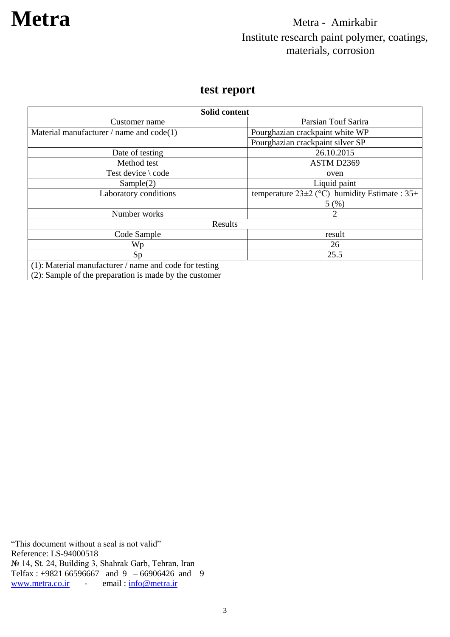### **test report**

| Solid content                                             |                                                          |  |
|-----------------------------------------------------------|----------------------------------------------------------|--|
| Customer name                                             | Parsian Touf Sarira                                      |  |
| Material manufacturer / name and $code(1)$                | Pourghazian crackpaint white WP                          |  |
|                                                           | Pourghazian crackpaint silver SP                         |  |
| Date of testing                                           | 26.10.2015                                               |  |
| Method test                                               | ASTM D2369                                               |  |
| Test device $\setminus$ code                              | oven                                                     |  |
| Sample(2)                                                 | Liquid paint                                             |  |
| Laboratory conditions                                     | temperature 23 $\pm$ 2 (°C) humidity Estimate : 35 $\pm$ |  |
|                                                           | 5(%)                                                     |  |
| Number works                                              |                                                          |  |
| Results                                                   |                                                          |  |
| Code Sample                                               | result                                                   |  |
| Wp                                                        | 26                                                       |  |
| Sp                                                        | 25.5                                                     |  |
| $(1)$ : Material manufacturer / name and code for testing |                                                          |  |
| (2): Sample of the preparation is made by the customer    |                                                          |  |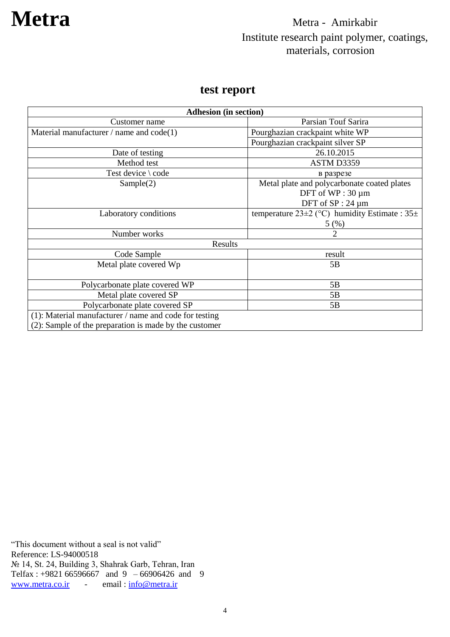### **test report**

| <b>Adhesion (in section)</b>                              |                                                       |  |
|-----------------------------------------------------------|-------------------------------------------------------|--|
| Customer name                                             | Parsian Touf Sarira                                   |  |
| Material manufacturer $/$ name and code $(1)$             | Pourghazian crackpaint white WP                       |  |
|                                                           | Pourghazian crackpaint silver SP                      |  |
| Date of testing                                           | 26.10.2015                                            |  |
| Method test                                               | ASTM D3359                                            |  |
| Test device \ code                                        | в разрезе                                             |  |
| Sample(2)                                                 | Metal plate and polycarbonate coated plates           |  |
|                                                           | DFT of $WP:30 \mu m$                                  |  |
|                                                           | DFT of $SP: 24 \mu m$                                 |  |
| Laboratory conditions                                     | temperature $23\pm2$ (°C) humidity Estimate : $35\pm$ |  |
|                                                           | 5(%)                                                  |  |
| Number works                                              | $\overline{2}$                                        |  |
| Results                                                   |                                                       |  |
| Code Sample                                               | result                                                |  |
| Metal plate covered Wp                                    | 5B                                                    |  |
|                                                           |                                                       |  |
| Polycarbonate plate covered WP                            | 5B                                                    |  |
| Metal plate covered SP                                    | 5B                                                    |  |
| Polycarbonate plate covered SP                            | 5B                                                    |  |
| $(1)$ : Material manufacturer / name and code for testing |                                                       |  |
| (2): Sample of the preparation is made by the customer    |                                                       |  |

"This document without a seal is not valid" Reference: LS-94000518 № 14, St. 24, Building 3, Shahrak Garb, Tehran, Iran Telfax : +9821 66596667 and 9 – 66906426 and 9<br>www.metra.co.ir - email :  $\frac{\text{info@metra.ir}}{\text{info@metra.ir}}$ [www.metra.co.ir](http://www.metra.co.ir/) -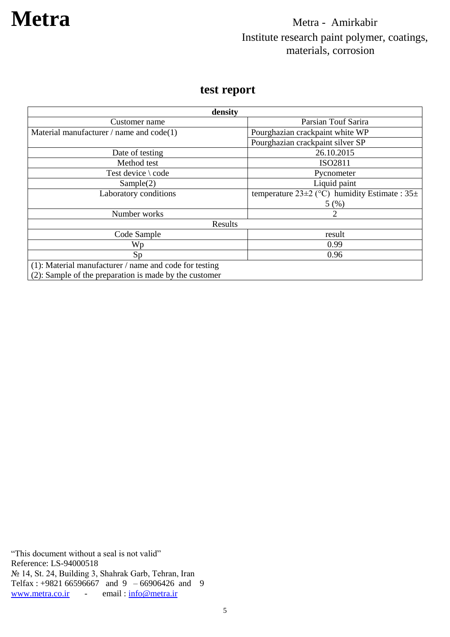### **test report**

| density                                                   |                                                       |  |
|-----------------------------------------------------------|-------------------------------------------------------|--|
| Customer name                                             | Parsian Touf Sarira                                   |  |
| Material manufacturer / name and $code(1)$                | Pourghazian crackpaint white WP                       |  |
|                                                           | Pourghazian crackpaint silver SP                      |  |
| Date of testing                                           | 26.10.2015                                            |  |
| Method test                                               | ISO2811                                               |  |
| Test device $\setminus$ code                              | Pycnometer                                            |  |
| Sample(2)                                                 | Liquid paint                                          |  |
| Laboratory conditions                                     | temperature $23\pm2$ (°C) humidity Estimate : $35\pm$ |  |
|                                                           | 5(%)                                                  |  |
| Number works                                              | 2                                                     |  |
| Results                                                   |                                                       |  |
| Code Sample                                               | result                                                |  |
| Wp                                                        | 0.99                                                  |  |
| Sp                                                        | 0.96                                                  |  |
| $(1)$ : Material manufacturer / name and code for testing |                                                       |  |
| (2): Sample of the preparation is made by the customer    |                                                       |  |

(2): Sample of the preparation is made by the customer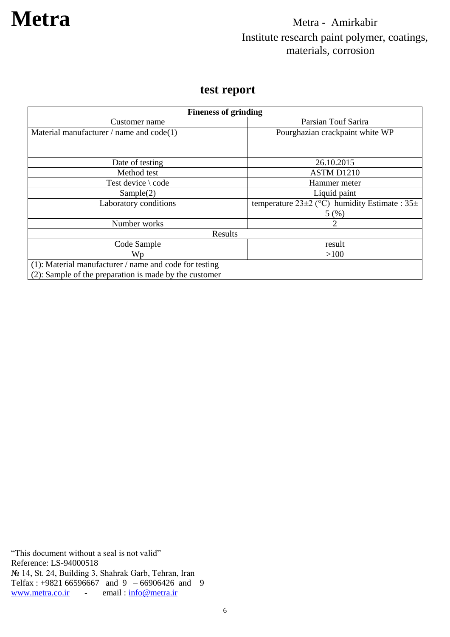### **test report**

| <b>Fineness of grinding</b>                               |                                                       |  |
|-----------------------------------------------------------|-------------------------------------------------------|--|
| Customer name                                             | Parsian Touf Sarira                                   |  |
| Material manufacturer $/$ name and code $(1)$             | Pourghazian crackpaint white WP                       |  |
|                                                           |                                                       |  |
| Date of testing                                           | 26.10.2015                                            |  |
| Method test                                               | ASTM D1210                                            |  |
| Test device $\setminus$ code                              | Hammer meter                                          |  |
| Sample(2)                                                 | Liquid paint                                          |  |
| Laboratory conditions                                     | temperature $23\pm2$ (°C) humidity Estimate : $35\pm$ |  |
|                                                           | 5(%)                                                  |  |
| Number works                                              | 2                                                     |  |
| Results                                                   |                                                       |  |
| Code Sample                                               | result                                                |  |
| Wp                                                        | >100                                                  |  |
| $(1)$ : Material manufacturer / name and code for testing |                                                       |  |
| (2): Sample of the preparation is made by the customer    |                                                       |  |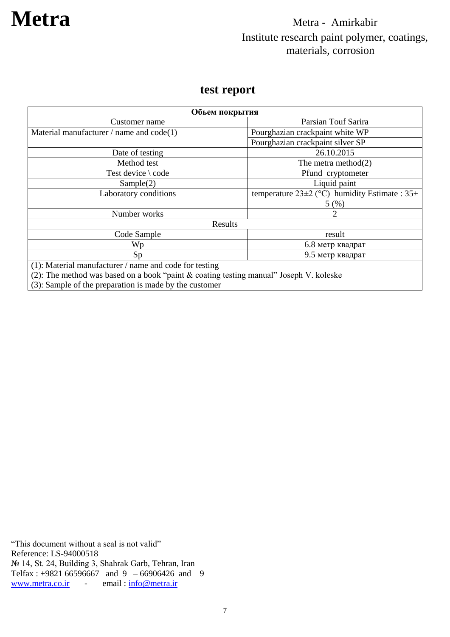### **test report**

| Обьем покрытия                                                                            |                                                       |  |
|-------------------------------------------------------------------------------------------|-------------------------------------------------------|--|
| Customer name                                                                             | Parsian Touf Sarira                                   |  |
| Material manufacturer / name and $code(1)$                                                | Pourghazian crackpaint white WP                       |  |
|                                                                                           | Pourghazian crackpaint silver SP                      |  |
| Date of testing                                                                           | 26.10.2015                                            |  |
| Method test                                                                               | The metra method $(2)$                                |  |
| Test device $\setminus$ code                                                              | Pfund cryptometer                                     |  |
| Sample(2)                                                                                 | Liquid paint                                          |  |
| Laboratory conditions                                                                     | temperature $23\pm2$ (°C) humidity Estimate : $35\pm$ |  |
|                                                                                           | 5(%)                                                  |  |
| Number works                                                                              | 2                                                     |  |
| Results                                                                                   |                                                       |  |
| Code Sample                                                                               | result                                                |  |
| Wp                                                                                        | 6.8 метр квадрат                                      |  |
| Sp                                                                                        | 9.5 метр квадрат                                      |  |
| $(1)$ : Material manufacturer / name and code for testing                                 |                                                       |  |
| (2): The method was based on a book "paint $\&$ coating testing manual" Joseph V. koleske |                                                       |  |

 $(3)$ : Sample of the preparation is made by the customer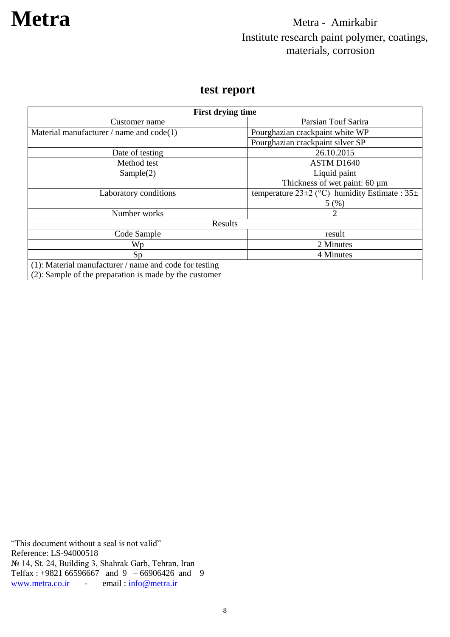### **test report**

| <b>First drying time</b>                                  |                                                       |  |
|-----------------------------------------------------------|-------------------------------------------------------|--|
| Customer name                                             | Parsian Touf Sarira                                   |  |
| Material manufacturer / name and $code(1)$                | Pourghazian crackpaint white WP                       |  |
|                                                           | Pourghazian crackpaint silver SP                      |  |
| Date of testing                                           | 26.10.2015                                            |  |
| Method test                                               | ASTM D1640                                            |  |
| Sample(2)                                                 | Liquid paint                                          |  |
|                                                           | Thickness of wet paint: 60 µm                         |  |
| Laboratory conditions                                     | temperature $23\pm2$ (°C) humidity Estimate : $35\pm$ |  |
|                                                           | 5(%)                                                  |  |
| Number works                                              | 2                                                     |  |
| Results                                                   |                                                       |  |
| Code Sample                                               | result                                                |  |
| Wp                                                        | 2 Minutes                                             |  |
| Sp                                                        | 4 Minutes                                             |  |
| $(1)$ : Material manufacturer / name and code for testing |                                                       |  |
| (2): Sample of the preparation is made by the customer    |                                                       |  |

"This document without a seal is not valid" Reference: LS-94000518 № 14, St. 24, Building 3, Shahrak Garb, Tehran, Iran Telfax : +9821 66596667 and 9 – 66906426 and 9<br>www.metra.co.ir - email :  $\frac{\text{info@metra.ir}}{\text{info@metra.ir}}$ - email : [info@metra.ir](mailto:info@metra.ir)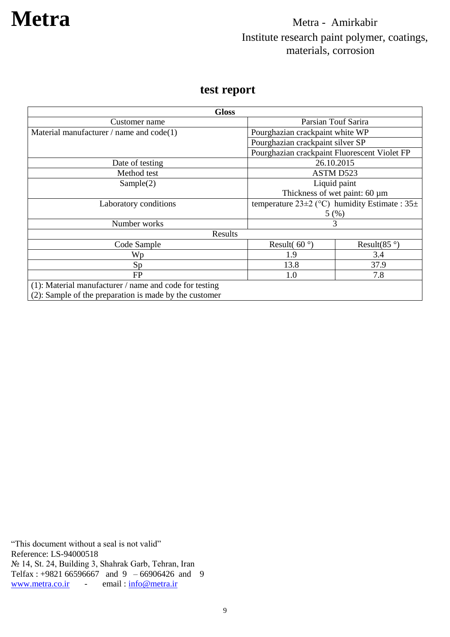### **test report**

| <b>Gloss</b>                                              |                                                       |                       |
|-----------------------------------------------------------|-------------------------------------------------------|-----------------------|
| Customer name                                             | Parsian Touf Sarira                                   |                       |
| Material manufacturer / name and $code(1)$                | Pourghazian crackpaint white WP                       |                       |
|                                                           | Pourghazian crackpaint silver SP                      |                       |
|                                                           | Pourghazian crackpaint Fluorescent Violet FP          |                       |
| Date of testing                                           | 26.10.2015                                            |                       |
| Method test                                               | ASTM D523                                             |                       |
| Sample(2)                                                 | Liquid paint                                          |                       |
|                                                           | Thickness of wet paint: 60 µm                         |                       |
| Laboratory conditions                                     | temperature $23\pm2$ (°C) humidity Estimate : $35\pm$ |                       |
|                                                           | 5(%)                                                  |                       |
| Number works                                              | 3                                                     |                       |
| Results                                                   |                                                       |                       |
| Code Sample                                               | Result( $60^{\circ}$ )                                | Result(85 $\degree$ ) |
| Wp                                                        | 1.9                                                   | 3.4                   |
| Sp                                                        | 13.8                                                  | 37.9                  |
| FP                                                        | 1.0                                                   | 7.8                   |
| $(1)$ : Material manufacturer / name and code for testing |                                                       |                       |
| (2): Sample of the preparation is made by the customer    |                                                       |                       |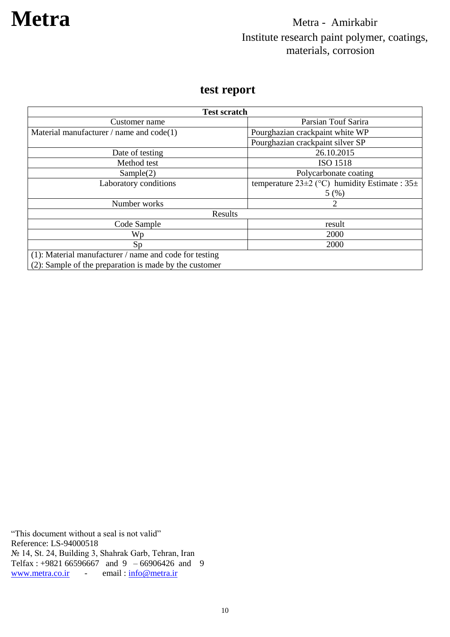### **test report**

| <b>Test scratch</b>                                       |                                                       |  |
|-----------------------------------------------------------|-------------------------------------------------------|--|
| Customer name                                             | Parsian Touf Sarira                                   |  |
| Material manufacturer / name and $code(1)$                | Pourghazian crackpaint white WP                       |  |
|                                                           | Pourghazian crackpaint silver SP                      |  |
| Date of testing                                           | 26.10.2015                                            |  |
| Method test                                               | <b>ISO 1518</b>                                       |  |
| Sample(2)                                                 | Polycarbonate coating                                 |  |
| Laboratory conditions                                     | temperature $23\pm2$ (°C) humidity Estimate : $35\pm$ |  |
|                                                           | 5(%)                                                  |  |
| Number works                                              |                                                       |  |
| Results                                                   |                                                       |  |
| Code Sample                                               | result                                                |  |
| Wp                                                        | 2000                                                  |  |
| Sp                                                        | 2000                                                  |  |
| $(1)$ : Material manufacturer / name and code for testing |                                                       |  |
| (2): Sample of the preparation is made by the customer    |                                                       |  |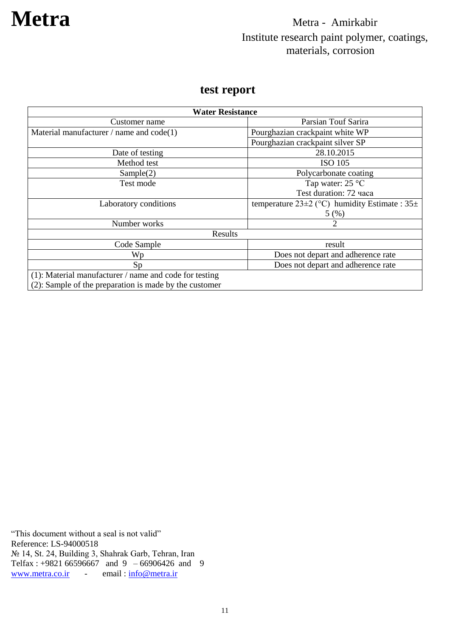### **test report**

| <b>Water Resistance</b>                                   |                                                       |  |
|-----------------------------------------------------------|-------------------------------------------------------|--|
| Customer name                                             | Parsian Touf Sarira                                   |  |
| Material manufacturer / name and $code(1)$                | Pourghazian crackpaint white WP                       |  |
|                                                           | Pourghazian crackpaint silver SP                      |  |
| Date of testing                                           | 28.10.2015                                            |  |
| Method test                                               | <b>ISO 105</b>                                        |  |
| Sample(2)                                                 | Polycarbonate coating                                 |  |
| Test mode                                                 | Tap water: $25^{\circ}$ C                             |  |
|                                                           | Test duration: 72 yaca                                |  |
| Laboratory conditions                                     | temperature $23\pm2$ (°C) humidity Estimate : $35\pm$ |  |
|                                                           | 5(%)                                                  |  |
| Number works                                              | $\overline{2}$                                        |  |
| Results                                                   |                                                       |  |
| Code Sample                                               | result                                                |  |
| Wp                                                        | Does not depart and adherence rate                    |  |
| Sp                                                        | Does not depart and adherence rate                    |  |
| $(1)$ : Material manufacturer / name and code for testing |                                                       |  |
| (2): Sample of the preparation is made by the customer    |                                                       |  |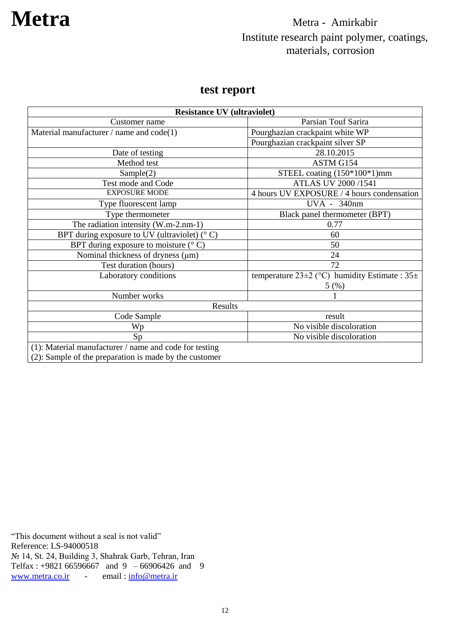### **test report**

| <b>Resistance UV (ultraviolet)</b>                     |                                                       |
|--------------------------------------------------------|-------------------------------------------------------|
| Customer name                                          | Parsian Touf Sarira                                   |
| Material manufacturer / name and $code(1)$             | Pourghazian crackpaint white WP                       |
|                                                        | Pourghazian crackpaint silver SP                      |
| Date of testing                                        | 28.10.2015                                            |
| Method test                                            | ASTM G154                                             |
| Sample(2)                                              | STEEL coating $(150*100*1)$ mm                        |
| Test mode and Code                                     | <b>ATLAS UV 2000/1541</b>                             |
| <b>EXPOSURE MODE</b>                                   | 4 hours UV EXPOSURE / 4 hours condensation            |
| Type fluorescent lamp                                  | UVA - 340nm                                           |
| Type thermometer                                       | Black panel thermometer (BPT)                         |
| The radiation intensity (W.m-2.nm-1)                   | 0.77                                                  |
| BPT during exposure to UV (ultraviolet) $(°\)$         | 60                                                    |
| BPT during exposure to moisture $(^{\circ}$ C)         | 50                                                    |
| Nominal thickness of dryness (µm)                      | 24                                                    |
| Test duration (hours)                                  | 72                                                    |
| Laboratory conditions                                  | temperature $23\pm2$ (°C) humidity Estimate : $35\pm$ |
|                                                        | 5(%)                                                  |
| Number works                                           |                                                       |
| Results                                                |                                                       |
| Code Sample                                            | result                                                |
| Wp                                                     | No visible discoloration                              |
| Sp                                                     | No visible discoloration                              |
| (1): Material manufacturer / name and code for testing |                                                       |
| (2): Sample of the preparation is made by the customer |                                                       |